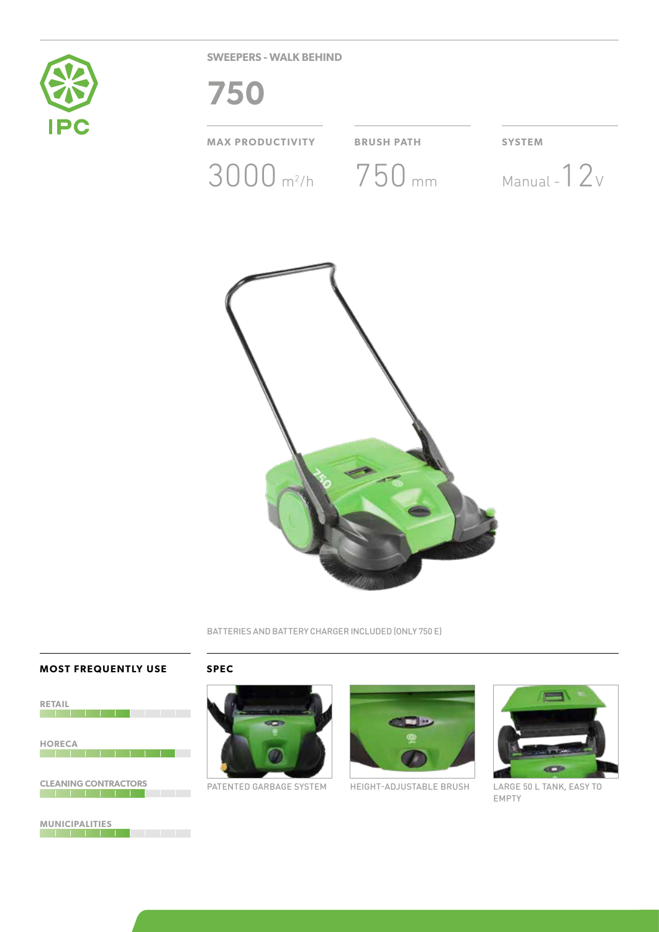

**SWEEPERS - WALK BEHIND**



BATTERIES AND BATTERY CHARGER INCLUDED (ONLY 750 E)

## **MOST FREQUENTLY USE SPEC**



**MUNICIPALITIES**





PATENTED GARBAGE SYSTEM HEIGHT-ADJUSTABLE BRUSH



LARGE 50 L TANK, EASY TO EMPTY